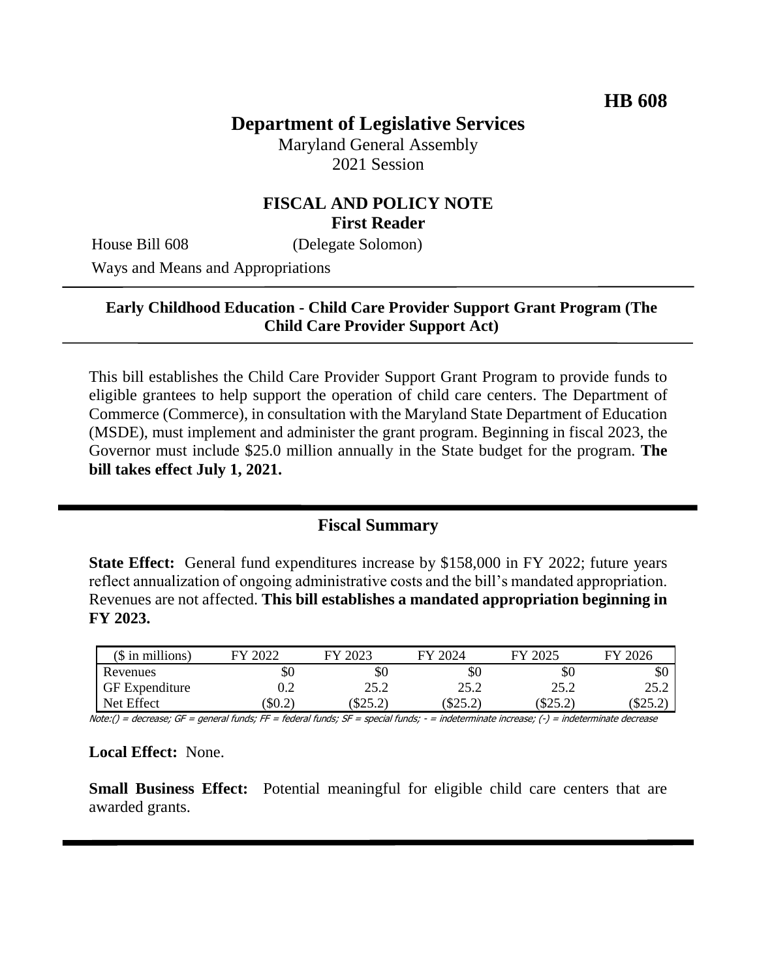# **Department of Legislative Services**

Maryland General Assembly 2021 Session

#### **FISCAL AND POLICY NOTE First Reader**

House Bill 608 (Delegate Solomon)

Ways and Means and Appropriations

#### **Early Childhood Education - Child Care Provider Support Grant Program (The Child Care Provider Support Act)**

This bill establishes the Child Care Provider Support Grant Program to provide funds to eligible grantees to help support the operation of child care centers. The Department of Commerce (Commerce), in consultation with the Maryland State Department of Education (MSDE), must implement and administer the grant program. Beginning in fiscal 2023, the Governor must include \$25.0 million annually in the State budget for the program. **The bill takes effect July 1, 2021.**

#### **Fiscal Summary**

**State Effect:** General fund expenditures increase by \$158,000 in FY 2022; future years reflect annualization of ongoing administrative costs and the bill's mandated appropriation. Revenues are not affected. **This bill establishes a mandated appropriation beginning in FY 2023.**

| $($$ in millions)     | $202^{\circ}$<br>FУ. | EY 2023 | FY 2024        | 2025<br>EV | 2026<br>ГV |
|-----------------------|----------------------|---------|----------------|------------|------------|
| Revenues              | \$0                  | \$0     | \$0            | \$0        | \$0        |
| <b>GF</b> Expenditure |                      | 25.2    | 25.2           | 25.2       | 25.2       |
| Net Effect            | \$0.2\$              | \$25.2  | でつく つ<br>∠.ر∠ب | $(\$25.2)$ | ــ د 10    |

Note:() = decrease; GF = general funds; FF = federal funds; SF = special funds; - = indeterminate increase; (-) = indeterminate decrease

#### **Local Effect:** None.

**Small Business Effect:** Potential meaningful for eligible child care centers that are awarded grants.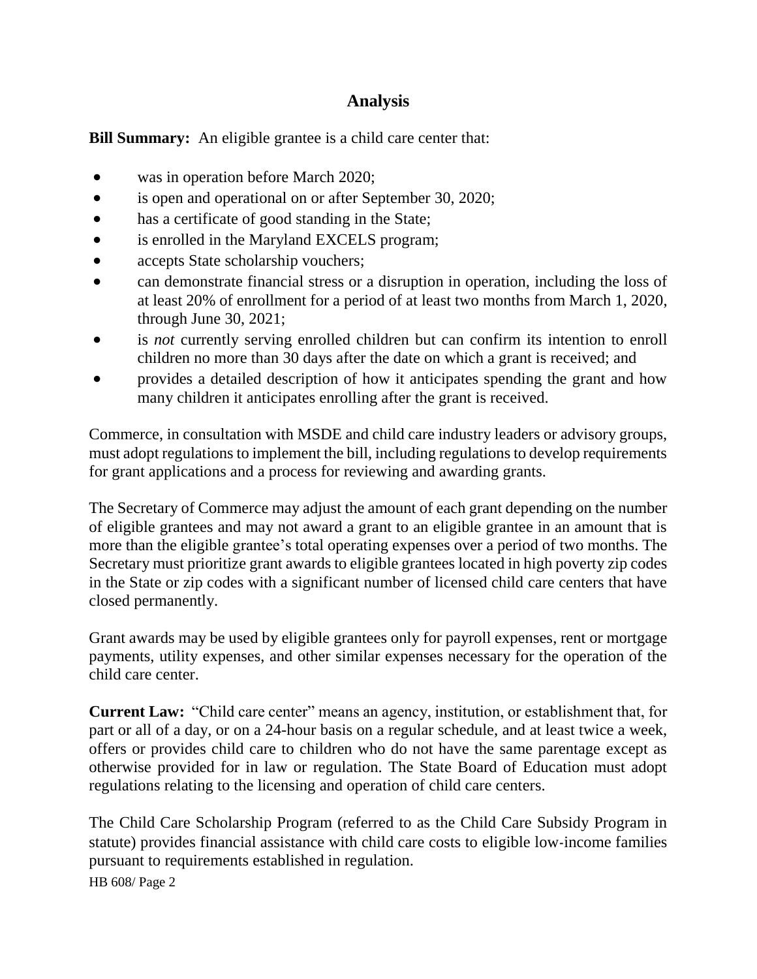## **Analysis**

**Bill Summary:** An eligible grantee is a child care center that:

- was in operation before March 2020;
- is open and operational on or after September 30, 2020;
- has a certificate of good standing in the State;
- is enrolled in the Maryland EXCELS program;
- accepts State scholarship vouchers;
- can demonstrate financial stress or a disruption in operation, including the loss of at least 20% of enrollment for a period of at least two months from March 1, 2020, through June 30, 2021;
- is *not* currently serving enrolled children but can confirm its intention to enroll children no more than 30 days after the date on which a grant is received; and
- provides a detailed description of how it anticipates spending the grant and how many children it anticipates enrolling after the grant is received.

Commerce, in consultation with MSDE and child care industry leaders or advisory groups, must adopt regulations to implement the bill, including regulations to develop requirements for grant applications and a process for reviewing and awarding grants.

The Secretary of Commerce may adjust the amount of each grant depending on the number of eligible grantees and may not award a grant to an eligible grantee in an amount that is more than the eligible grantee's total operating expenses over a period of two months. The Secretary must prioritize grant awards to eligible grantees located in high poverty zip codes in the State or zip codes with a significant number of licensed child care centers that have closed permanently.

Grant awards may be used by eligible grantees only for payroll expenses, rent or mortgage payments, utility expenses, and other similar expenses necessary for the operation of the child care center.

**Current Law:** "Child care center" means an agency, institution, or establishment that, for part or all of a day, or on a 24-hour basis on a regular schedule, and at least twice a week, offers or provides child care to children who do not have the same parentage except as otherwise provided for in law or regulation. The State Board of Education must adopt regulations relating to the licensing and operation of child care centers.

The Child Care Scholarship Program (referred to as the Child Care Subsidy Program in statute) provides financial assistance with child care costs to eligible low-income families pursuant to requirements established in regulation.

HB 608/ Page 2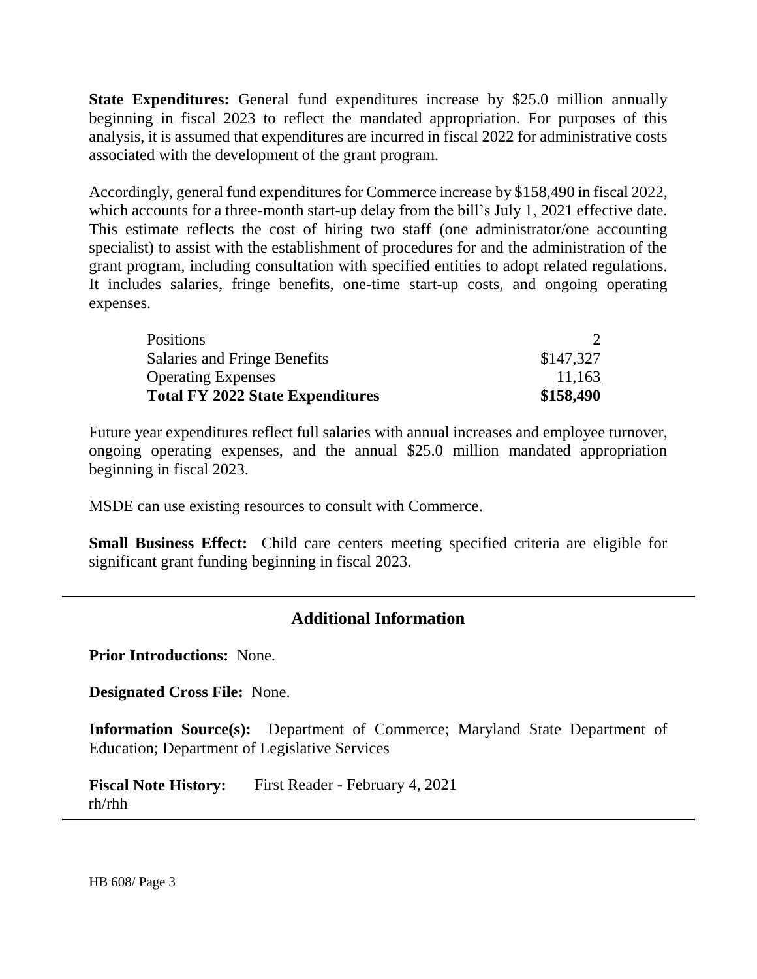**State Expenditures:** General fund expenditures increase by \$25.0 million annually beginning in fiscal 2023 to reflect the mandated appropriation. For purposes of this analysis, it is assumed that expenditures are incurred in fiscal 2022 for administrative costs associated with the development of the grant program.

Accordingly, general fund expenditures for Commerce increase by \$158,490 in fiscal 2022, which accounts for a three-month start-up delay from the bill's July 1, 2021 effective date. This estimate reflects the cost of hiring two staff (one administrator/one accounting specialist) to assist with the establishment of procedures for and the administration of the grant program, including consultation with specified entities to adopt related regulations. It includes salaries, fringe benefits, one-time start-up costs, and ongoing operating expenses.

| <b>Positions</b>                        |           |
|-----------------------------------------|-----------|
| Salaries and Fringe Benefits            | \$147,327 |
| <b>Operating Expenses</b>               | 11,163    |
| <b>Total FY 2022 State Expenditures</b> | \$158,490 |

Future year expenditures reflect full salaries with annual increases and employee turnover, ongoing operating expenses, and the annual \$25.0 million mandated appropriation beginning in fiscal 2023.

MSDE can use existing resources to consult with Commerce.

**Small Business Effect:** Child care centers meeting specified criteria are eligible for significant grant funding beginning in fiscal 2023.

### **Additional Information**

**Prior Introductions:** None.

**Designated Cross File:** None.

**Information Source(s):** Department of Commerce; Maryland State Department of Education; Department of Legislative Services

**Fiscal Note History:** First Reader - February 4, 2021 rh/rhh